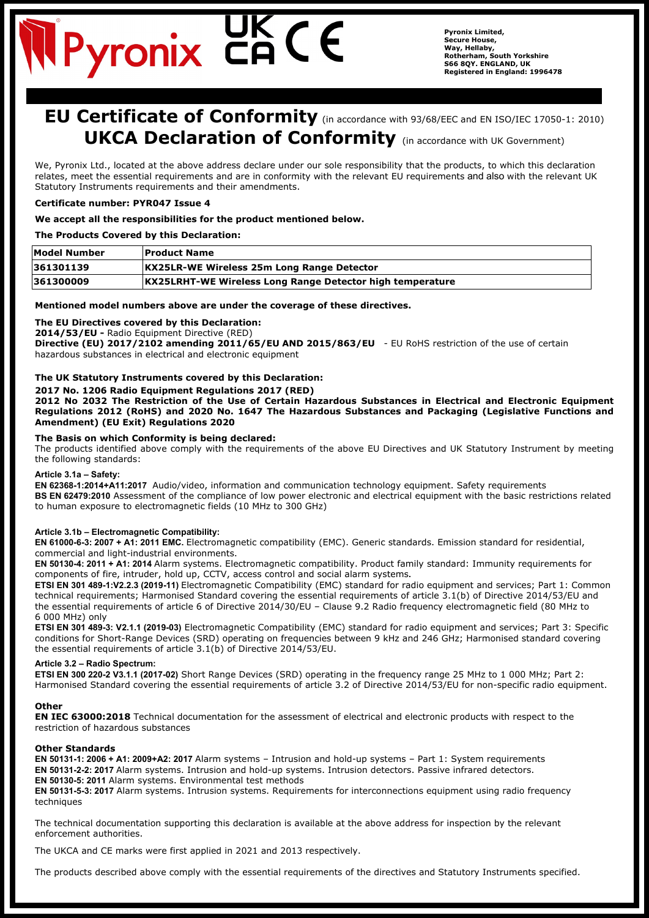# Pyronix C

**Pyronix Limited, Secure House, Way, Hellaby, Rotherham, South Yorkshire S66 8QY. ENGLAND, UK Registered in England: 1996478**

# **EU Certificate of Conformity** (in accordance with 93/68/EEC and EN ISO/IEC 17050-1: 2010) **UKCA Declaration of Conformity** (in accordance with UK Government)

We, Pyronix Ltd., located at the above address declare under our sole responsibility that the products, to which this declaration relates, meet the essential requirements and are in conformity with the relevant EU requirements and also with the relevant UK Statutory Instruments requirements and their amendments.

## **Certificate number: PYR047 Issue 4**

#### **We accept all the responsibilities for the product mentioned below.**

#### **The Products Covered by this Declaration:**

| <b>Model Number</b> | <b>Product Name</b>                                              |
|---------------------|------------------------------------------------------------------|
| 361301139           | <b>KX25LR-WE Wireless 25m Long Range Detector</b>                |
| 361300009           | <b>KX25LRHT-WE Wireless Long Range Detector high temperature</b> |

## **Mentioned model numbers above are under the coverage of these directives.**

**The EU Directives covered by this Declaration:**

**2014/53/EU -** Radio Equipment Directive (RED)

**Directive (EU) 2017/2102 amending 2011/65/EU AND 2015/863/EU** - EU RoHS restriction of the use of certain hazardous substances in electrical and electronic equipment

## **The UK Statutory Instruments covered by this Declaration:**

#### **2017 No. 1206 Radio Equipment Regulations 2017 (RED)**

**2012 No 2032 The Restriction of the Use of Certain Hazardous Substances in Electrical and Electronic Equipment Regulations 2012 (RoHS) and 2020 No. 1647 The Hazardous Substances and Packaging (Legislative Functions and Amendment) (EU Exit) Regulations 2020**

#### **The Basis on which Conformity is being declared:**

The products identified above comply with the requirements of the above EU Directives and UK Statutory Instrument by meeting the following standards:

#### **Article 3.1a – Safety:**

**EN 62368-1:2014+A11:2017** Audio/video, information and communication technology equipment. Safety requirements **BS EN 62479:2010** Assessment of the compliance of low power electronic and electrical equipment with the basic restrictions related to human exposure to electromagnetic fields (10 MHz to 300 GHz)

#### **Article 3.1b – Electromagnetic Compatibility:**

**EN 61000-6-3: 2007 + A1: 2011 EMC.** Electromagnetic compatibility (EMC). Generic standards. Emission standard for residential, commercial and light-industrial environments.

**EN 50130-4: 2011 + A1: 2014** Alarm systems. Electromagnetic compatibility. Product family standard: Immunity requirements for components of fire, intruder, hold up, CCTV, access control and social alarm systems**.**

**ETSI EN 301 489-1:V2.2.3 (2019-11)** Electromagnetic Compatibility (EMC) standard for radio equipment and services; Part 1: Common technical requirements; Harmonised Standard covering the essential requirements of article 3.1(b) of Directive 2014/53/EU and the essential requirements of article 6 of Directive 2014/30/EU – Clause 9.2 Radio frequency electromagnetic field (80 MHz to 6 000 MHz) only

**ETSI EN 301 489-3: V2.1.1 (2019-03)** Electromagnetic Compatibility (EMC) standard for radio equipment and services; Part 3: Specific conditions for Short-Range Devices (SRD) operating on frequencies between 9 kHz and 246 GHz; Harmonised standard covering the essential requirements of article 3.1(b) of Directive 2014/53/EU.

#### **Article 3.2 – Radio Spectrum:**

**ETSI EN 300 220-2 V3.1.1 (2017-02)** Short Range Devices (SRD) operating in the frequency range 25 MHz to 1 000 MHz; Part 2: Harmonised Standard covering the essential requirements of article 3.2 of Directive 2014/53/EU for non-specific radio equipment.

#### **Other**

**EN IEC 63000:2018** Technical documentation for the assessment of electrical and electronic products with respect to the restriction of hazardous substances

## **Other Standards**

**EN 50131-1: 2006 + A1: 2009+A2: 2017** Alarm systems – Intrusion and hold-up systems – Part 1: System requirements **EN 50131-2-2: 2017** Alarm systems. Intrusion and hold-up systems. Intrusion detectors. Passive infrared detectors. **EN 50130-5: 2011** Alarm systems. Environmental test methods

**EN 50131-5-3: 2017** Alarm systems. Intrusion systems. Requirements for interconnections equipment using radio frequency techniques

The technical documentation supporting this declaration is available at the above address for inspection by the relevant enforcement authorities.

The UKCA and CE marks were first applied in 2021 and 2013 respectively.

The products described above comply with the essential requirements of the directives and Statutory Instruments specified.